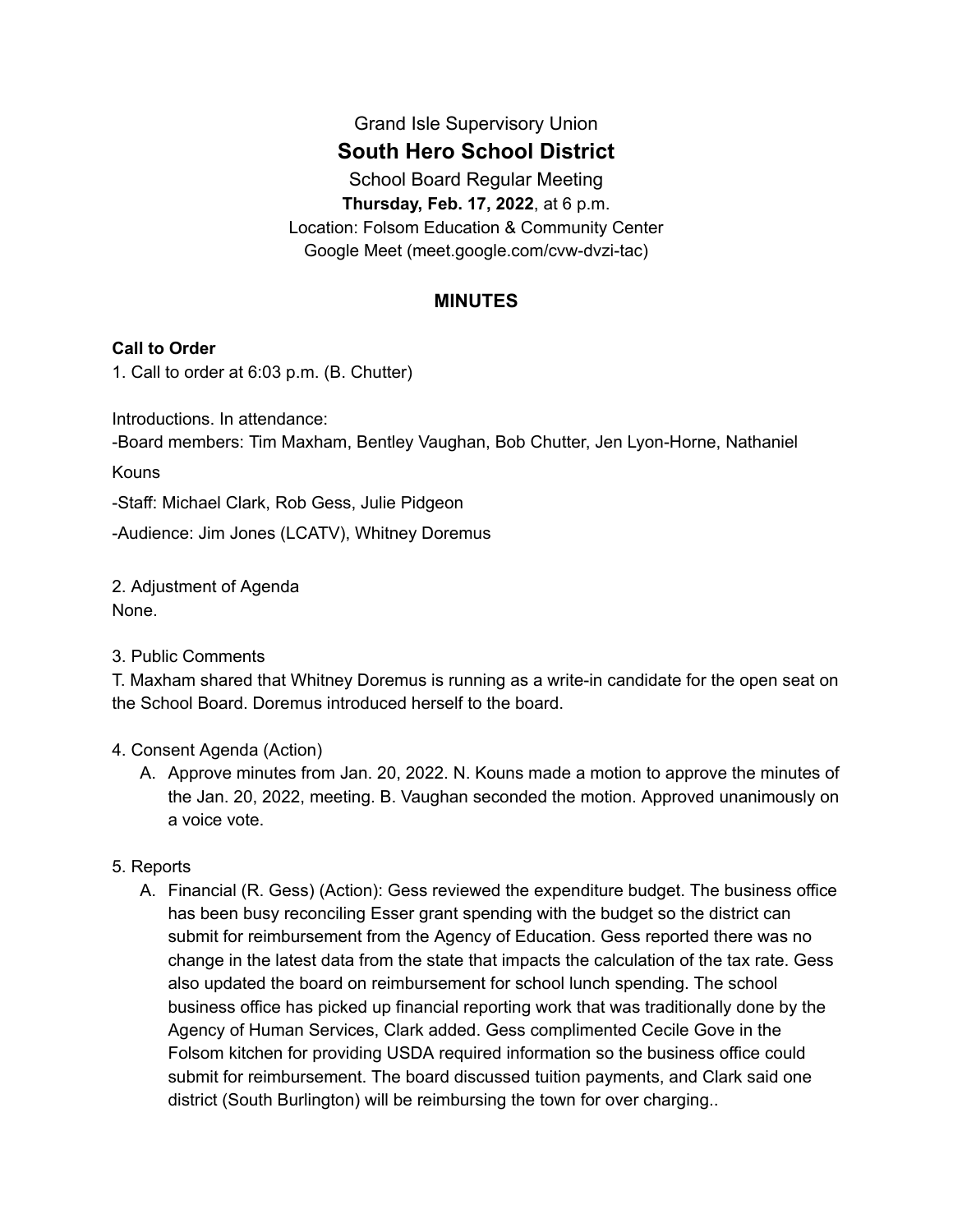# Grand Isle Supervisory Union **South Hero School District** School Board Regular Meeting **Thursday, Feb. 17, 2022**, at 6 p.m.

Location: Folsom Education & Community Center Google Meet (meet.google.com/cvw-dvzi-tac)

# **MINUTES**

## **Call to Order**

1. Call to order at 6:03 p.m. (B. Chutter)

Introductions. In attendance:

-Board members: Tim Maxham, Bentley Vaughan, Bob Chutter, Jen Lyon-Horne, Nathaniel

Kouns

-Staff: Michael Clark, Rob Gess, Julie Pidgeon

-Audience: Jim Jones (LCATV), Whitney Doremus

2. Adjustment of Agenda None.

3. Public Comments

T. Maxham shared that Whitney Doremus is running as a write-in candidate for the open seat on the School Board. Doremus introduced herself to the board.

#### 4. Consent Agenda (Action)

A. Approve minutes from Jan. 20, 2022. N. Kouns made a motion to approve the minutes of the Jan. 20, 2022, meeting. B. Vaughan seconded the motion. Approved unanimously on a voice vote.

#### 5. Reports

A. Financial (R. Gess) (Action): Gess reviewed the expenditure budget. The business office has been busy reconciling Esser grant spending with the budget so the district can submit for reimbursement from the Agency of Education. Gess reported there was no change in the latest data from the state that impacts the calculation of the tax rate. Gess also updated the board on reimbursement for school lunch spending. The school business office has picked up financial reporting work that was traditionally done by the Agency of Human Services, Clark added. Gess complimented Cecile Gove in the Folsom kitchen for providing USDA required information so the business office could submit for reimbursement. The board discussed tuition payments, and Clark said one district (South Burlington) will be reimbursing the town for over charging..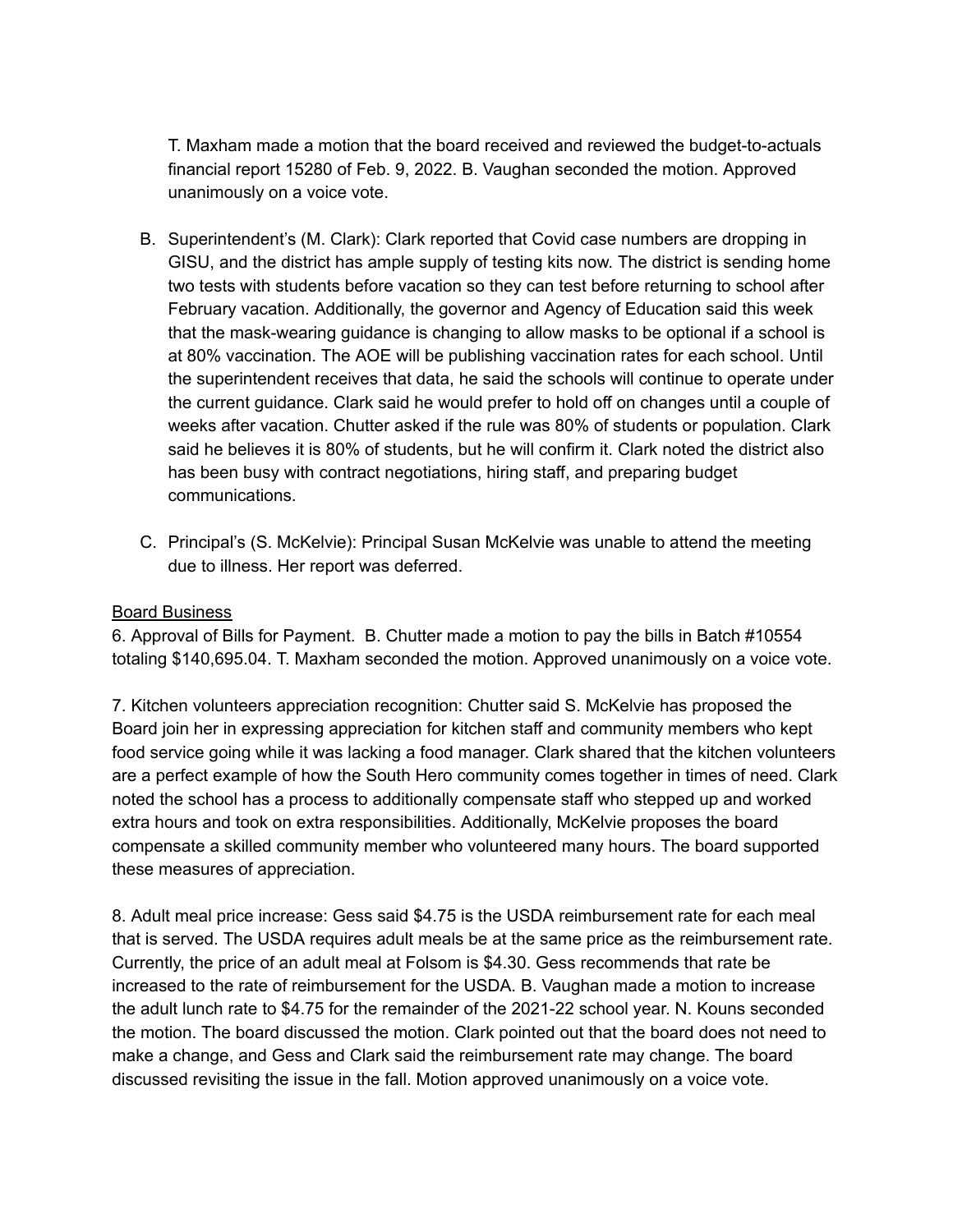T. Maxham made a motion that the board received and reviewed the budget-to-actuals financial report 15280 of Feb. 9, 2022. B. Vaughan seconded the motion. Approved unanimously on a voice vote.

- B. Superintendent's (M. Clark): Clark reported that Covid case numbers are dropping in GISU, and the district has ample supply of testing kits now. The district is sending home two tests with students before vacation so they can test before returning to school after February vacation. Additionally, the governor and Agency of Education said this week that the mask-wearing guidance is changing to allow masks to be optional if a school is at 80% vaccination. The AOE will be publishing vaccination rates for each school. Until the superintendent receives that data, he said the schools will continue to operate under the current guidance. Clark said he would prefer to hold off on changes until a couple of weeks after vacation. Chutter asked if the rule was 80% of students or population. Clark said he believes it is 80% of students, but he will confirm it. Clark noted the district also has been busy with contract negotiations, hiring staff, and preparing budget communications.
- C. Principal's (S. McKelvie): Principal Susan McKelvie was unable to attend the meeting due to illness. Her report was deferred.

### Board Business

6. Approval of Bills for Payment. B. Chutter made a motion to pay the bills in Batch #10554 totaling \$140,695.04. T. Maxham seconded the motion. Approved unanimously on a voice vote.

7. Kitchen volunteers appreciation recognition: Chutter said S. McKelvie has proposed the Board join her in expressing appreciation for kitchen staff and community members who kept food service going while it was lacking a food manager. Clark shared that the kitchen volunteers are a perfect example of how the South Hero community comes together in times of need. Clark noted the school has a process to additionally compensate staff who stepped up and worked extra hours and took on extra responsibilities. Additionally, McKelvie proposes the board compensate a skilled community member who volunteered many hours. The board supported these measures of appreciation.

8. Adult meal price increase: Gess said \$4.75 is the USDA reimbursement rate for each meal that is served. The USDA requires adult meals be at the same price as the reimbursement rate. Currently, the price of an adult meal at Folsom is \$4.30. Gess recommends that rate be increased to the rate of reimbursement for the USDA. B. Vaughan made a motion to increase the adult lunch rate to \$4.75 for the remainder of the 2021-22 school year. N. Kouns seconded the motion. The board discussed the motion. Clark pointed out that the board does not need to make a change, and Gess and Clark said the reimbursement rate may change. The board discussed revisiting the issue in the fall. Motion approved unanimously on a voice vote.